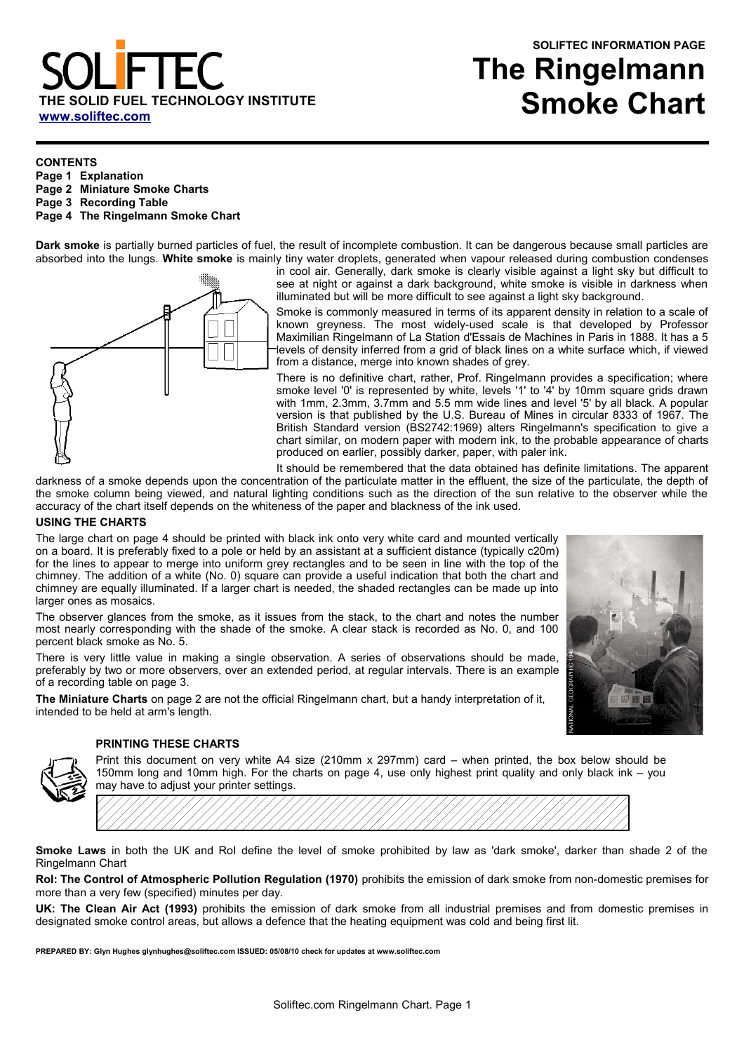# SOLID FUEL TECHNOLOGY INSTITUTE **[www.soliftec.com](http://www.soliftec.com/)**

# **SOLIFTEC INFORMATION PAGE The Ringelmann Smoke Chart**

#### **CONTENTS**

- **Page 1 Explanation**
- **Page 2 Miniature Smoke Charts**
- **Page 3 Recording Table**
- **Page 4 The Ringelmann Smoke Chart**

**Dark smoke** is partially burned particles of fuel, the result of incomplete combustion. It can be dangerous because small particles are absorbed into the lungs. **White smoke** is mainly tiny water droplets, generated when vapour released during combustion condenses



in cool air. Generally, dark smoke is clearly visible against a light sky but difficult to see at night or against a dark background, white smoke is visible in darkness when illuminated but will be more difficult to see against a light sky background.

Smoke is commonly measured in terms of its apparent density in relation to a scale of known greyness. The most widely-used scale is that developed by Professor Maximilian Ringelmann of La Station d'Essais de Machines in Paris in 1888. It has a 5 levels of density inferred from a grid of black lines on a white surface which, if viewed from a distance, merge into known shades of grey.

There is no definitive chart, rather, Prof. Ringelmann provides a specification; where smoke level '0' is represented by white, levels '1' to '4' by 10mm square grids drawn with 1mm, 2.3mm, 3.7mm and 5.5 mm wide lines and level '5' by all black. A popular version is that published by the U.S. Bureau of Mines in circular 8333 of 1967. The British Standard version (BS2742:1969) alters Ringelmann's specification to give a chart similar, on modern paper with modern ink, to the probable appearance of charts produced on earlier, possibly darker, paper, with paler ink.

It should be remembered that the data obtained has definite limitations. The apparent

darkness of a smoke depends upon the concentration of the particulate matter in the effluent, the size of the particulate, the depth of the smoke column being viewed, and natural lighting conditions such as the direction of the sun relative to the observer while the accuracy of the chart itself depends on the whiteness of the paper and blackness of the ink used.

#### **USING THE CHARTS**

The large chart on page 4 should be printed with black ink onto very white card and mounted vertically on a board. It is preferably fixed to a pole or held by an assistant at a sufficient distance (typically c20m) for the lines to appear to merge into uniform grey rectangles and to be seen in line with the top of the chimney. The addition of a white (No. 0) square can provide a useful indication that both the chart and chimney are equally illuminated. If a larger chart is needed, the shaded rectangles can be made up into larger ones as mosaics.

The observer glances from the smoke, as it issues from the stack, to the chart and notes the number most nearly corresponding with the shade of the smoke. A clear stack is recorded as No. 0, and 100 percent black smoke as No. 5.

There is very little value in making a single observation. A series of observations should be made, preferably by two or more observers, over an extended period, at regular intervals. There is an example of a recording table on page 3.

**The Miniature Charts** on page 2 are not the official Ringelmann chart, but a handy interpretation of it, intended to be held at arm's length.



#### **PRINTING THESE CHARTS**

Print this document on very white A4 size (210mm x 297mm) card – when printed, the box below should be 150mm long and 10mm high. For the charts on page 4, use only highest print quality and only black ink – you may have to adjust your printer settings.



**Smoke Laws** in both the UK and RoI define the level of smoke prohibited by law as 'dark smoke', darker than shade 2 of the Ringelmann Chart

**RoI: The Control of Atmospheric Pollution Regulation (1970)** prohibits the emission of dark smoke from non-domestic premises for more than a very few (specified) minutes per day.

**UK: The Clean Air Act (1993)** prohibits the emission of dark smoke from all industrial premises and from domestic premises in designated smoke control areas, but allows a defence that the heating equipment was cold and being first lit.

**PREPARED BY: Glyn Hughes glynhughes@soliftec.com ISSUED: 05/08/10 check for updates at www.soliftec.com**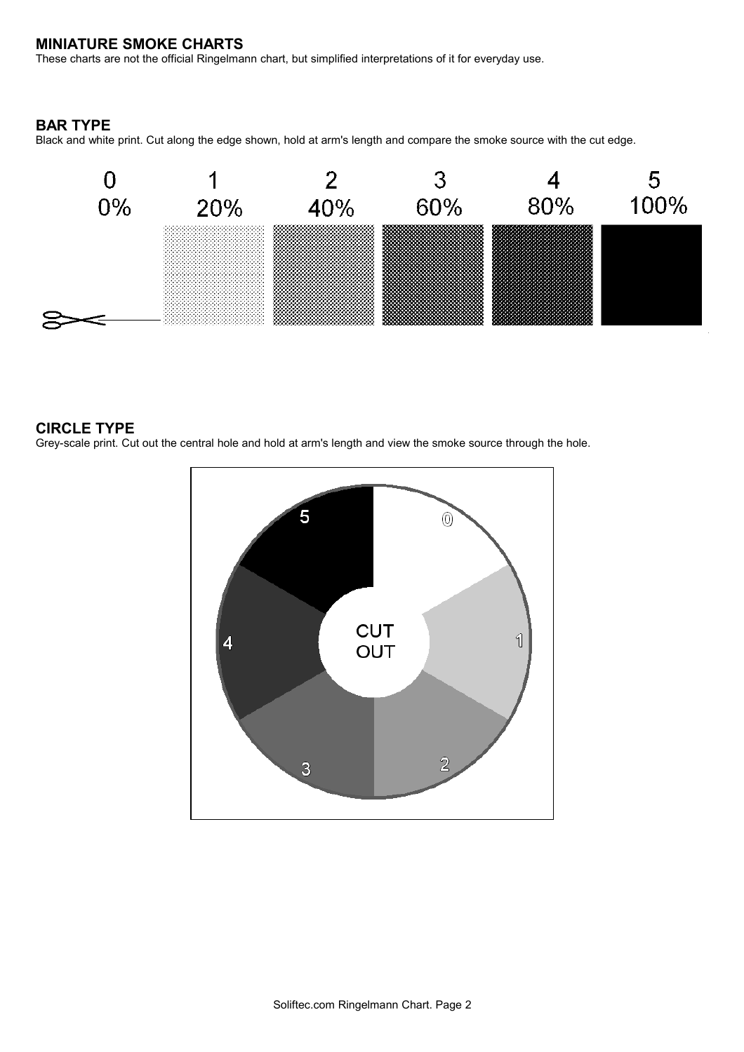# **MINIATURE SMOKE CHARTS**

These charts are not the official Ringelmann chart, but simplified interpretations of it for everyday use.

### **BAR TYPE**

Black and white print. Cut along the edge shown, hold at arm's length and compare the smoke source with the cut edge.



## **CIRCLE TYPE**

Grey-scale print. Cut out the central hole and hold at arm's length and view the smoke source through the hole.

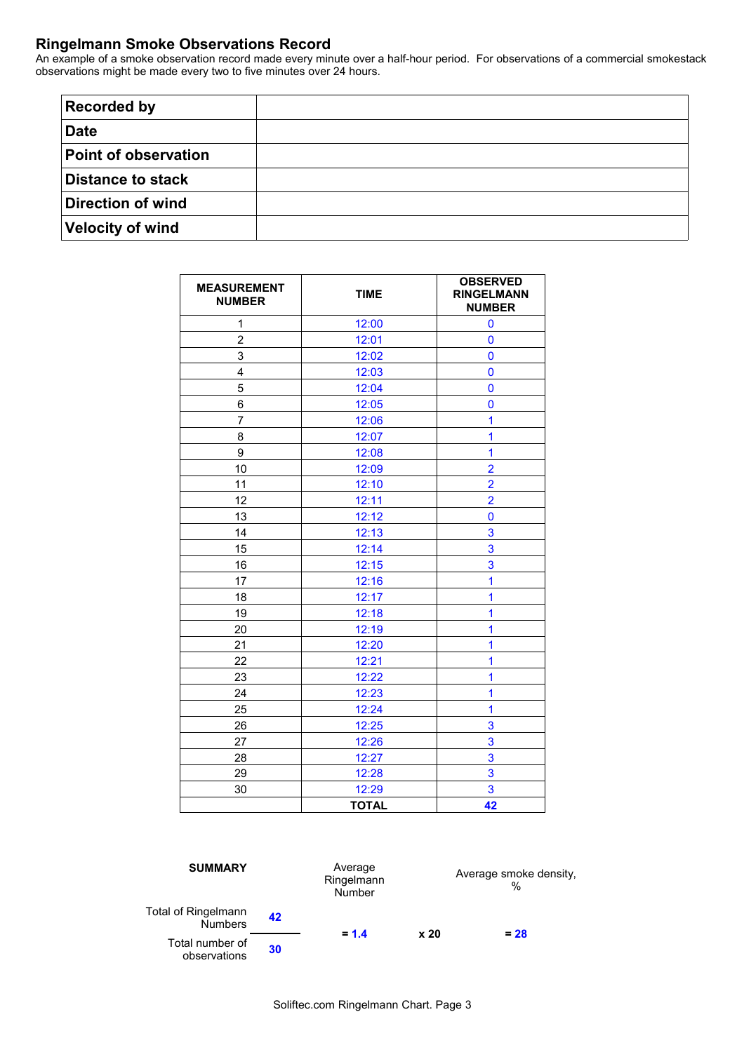# **Ringelmann Smoke Observations Record**

An example of a smoke observation record made every minute over a half-hour period. For observations of a commercial smokestack observations might be made every two to five minutes over 24 hours.

| <b>Recorded by</b>          |  |
|-----------------------------|--|
| <b>Date</b>                 |  |
| <b>Point of observation</b> |  |
| Distance to stack           |  |
| Direction of wind           |  |
| <b>Velocity of wind</b>     |  |

| <b>MEASUREMENT</b><br><b>NUMBER</b> | <b>TIME</b>  | <b>OBSERVED</b><br><b>RINGELMANN</b><br><b>NUMBER</b> |
|-------------------------------------|--------------|-------------------------------------------------------|
| 1                                   | 12:00        | $\bf{0}$                                              |
| $\overline{2}$                      | 12:01        | $\mathbf 0$                                           |
| 3                                   | 12:02        | $\bf{0}$                                              |
| 4                                   | 12:03        | $\mathbf 0$                                           |
| 5                                   | 12:04        | $\mathbf 0$                                           |
| 6                                   | 12:05        | $\bf{0}$                                              |
| $\overline{7}$                      | 12:06        | 1                                                     |
| 8                                   | 12:07        | 1                                                     |
| 9                                   | 12:08        | $\overline{1}$                                        |
| 10                                  | 12:09        | $\overline{2}$                                        |
| 11                                  | 12:10        | $\overline{2}$                                        |
| 12                                  | 12:11        | $\overline{2}$                                        |
| 13                                  | 12:12        | $\bf{0}$                                              |
| 14                                  | 12:13        | 3                                                     |
| 15                                  | 12:14        | 3                                                     |
| 16                                  | 12:15        | 3                                                     |
| 17                                  | 12:16        | 1                                                     |
| 18                                  | 12:17        | 1                                                     |
| 19                                  | 12:18        | $\overline{1}$                                        |
| 20                                  | 12:19        | 1                                                     |
| 21                                  | 12:20        | 1                                                     |
| 22                                  | 12:21        | 1                                                     |
| 23                                  | 12:22        | 1                                                     |
| 24                                  | 12:23        | 1                                                     |
| 25                                  | 12:24        | 1                                                     |
| 26                                  | 12:25        | 3                                                     |
| 27                                  | 12:26        | 3                                                     |
| 28                                  | 12:27        | 3                                                     |
| 29                                  | 12:28        | 3                                                     |
| 30                                  | 12:29        | 3                                                     |
|                                     | <b>TOTAL</b> | 42                                                    |